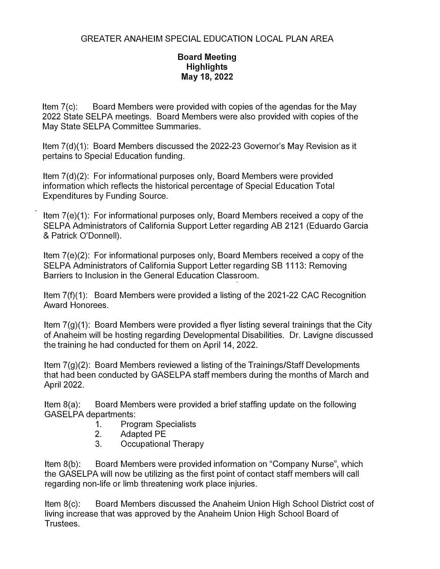## GREATER ANAHEIM SPECIAL EDUCATION LOCAL PLAN AREA

## **Board Meeting Highlights May 18, 2022**

Item 7(c): Board Members were provided with copies of the agendas for the May 2022 State SELPA meetings. Board Members were also provided with copies of the May State SELPA Committee Summaries.

Item  $7(d)(1)$ : Board Members discussed the 2022-23 Governor's May Revision as it pertains to Special Education funding.

Item 7(d)(2): For informational purposes only, Board Members were provided information which reflects the historical percentage of Special Education Total Expenditures by Funding Source.

Item 7(e)(1): For informational purposes only, Board Members received a copy of the SELPA Administrators of California Support Letter regarding AB 2121 (Eduardo Garcia & Patrick O'Donnell).

Item 7(e)(2): For informational purposes only, Board Members received a copy of the SELPA Administrators of California Support Letter regarding SB 1113: Removing Barriers to Inclusion in the General Education Classroom.

Item 7(f)(1): Board Members were provided a listing of the 2021-22 CAC Recognition Award Honorees.

Item  $7(g)(1)$ : Board Members were provided a flyer listing several trainings that the City of Anaheim will be hosting regarding Developmental Disabilities. Dr. Lavigne discussed the training he had conducted for them on April 14, 2022.

Item 7(g)(2): Board Members reviewed a listing of the Trainings/Staff Developments that had been conducted by GASELPA staff members during the months of March and April 2022.

Item 8(a): Board Members were provided a brief staffing update on the following GASELPA departments:

- 1. Program Specialists<br>2. Adapted PE
- Adapted PE
- 3. Occupational Therapy

Item 8(b): Board Members were provided information on "Company Nurse", which the GASELPA will now be utilizing as the first point of contact staff members will call regarding non-life or limb threatening work place injuries.

Item 8(c): Board Members discussed the Anaheim Union High School District cost of living increase that was approved by the Anaheim Union High School Board of Trustees.